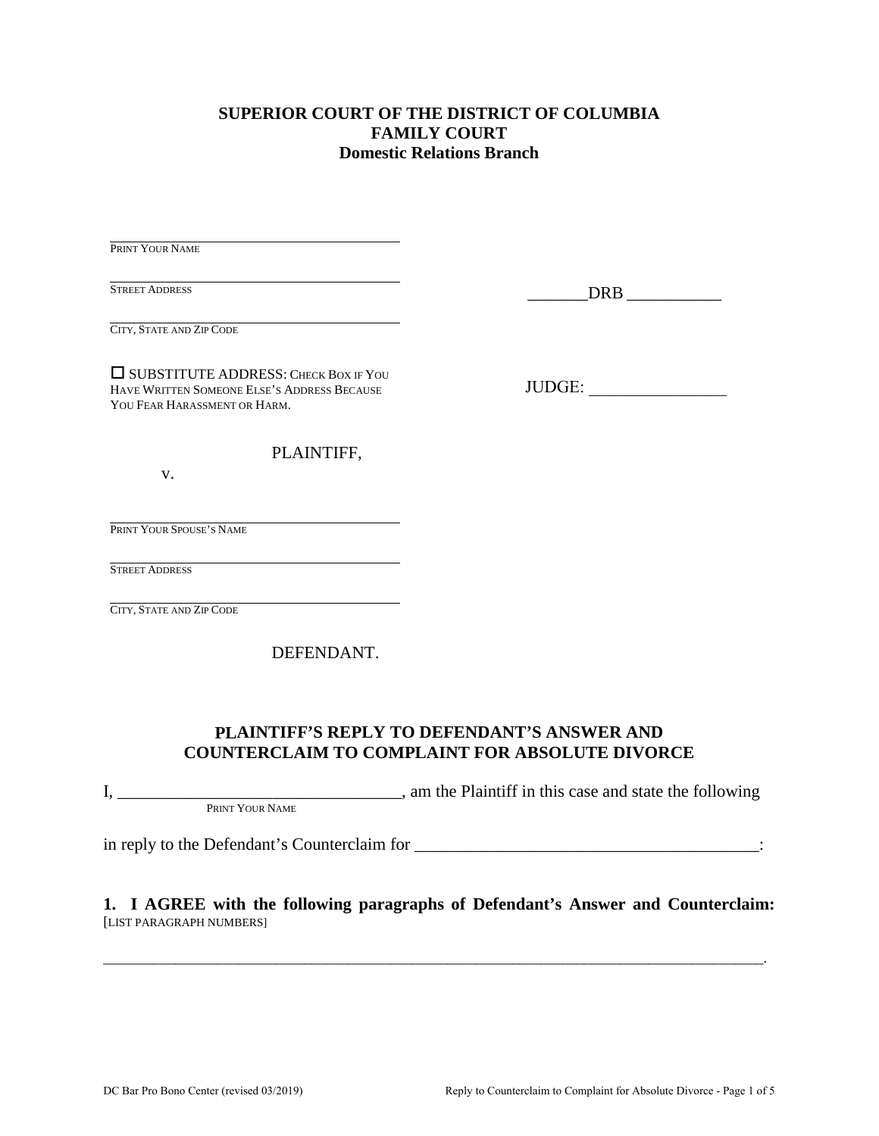### **SUPERIOR COURT OF THE DISTRICT OF COLUMBIA FAMILY COURT Domestic Relations Branch**

PRINT YOUR NAME

STREET ADDRESS

 $DRB$   $\qquad$ 

CITY, STATE AND ZIP CODE

**SUBSTITUTE ADDRESS: CHECK BOX IF YOU** HAVE WRITTEN SOMEONE ELSE'S ADDRESS BECAUSE YOU FEAR HARASSMENT OR HARM.

JUDGE: \_\_\_\_\_\_\_\_\_\_\_\_\_\_\_\_

PLAINTIFF,

v.

PRINT YOUR SPOUSE'S NAME

STREET ADDRESS

CITY, STATE AND ZIP CODE

DEFENDANT.

### **PLAINTIFF'S REPLY TO DEFENDANT'S ANSWER AND COUNTERCLAIM TO COMPLAINT FOR ABSOLUTE DIVORCE**

I, \_\_\_\_\_\_\_\_\_\_\_\_\_\_\_\_\_\_\_\_\_\_\_\_\_\_\_\_\_\_\_\_\_, am the Plaintiff in this case and state the following PRINT YOUR NAME

in reply to the Defendant's Counterclaim for \_\_\_\_\_\_\_\_\_\_\_\_\_\_\_\_\_\_\_\_\_\_\_\_\_\_\_\_\_\_\_\_\_\_\_\_\_\_\_\_:

### **1. I AGREE with the following paragraphs of Defendant's Answer and Counterclaim:** [LIST PARAGRAPH NUMBERS]

\_\_\_\_\_\_\_\_\_\_\_\_\_\_\_\_\_\_\_\_\_\_\_\_\_\_\_\_\_\_\_\_\_\_\_\_\_\_\_\_\_\_\_\_\_\_\_\_\_\_\_\_\_\_\_\_\_\_\_\_\_\_\_\_\_\_\_\_\_\_\_\_\_\_\_\_\_\_\_\_\_\_\_\_\_\_\_\_\_\_\_\_.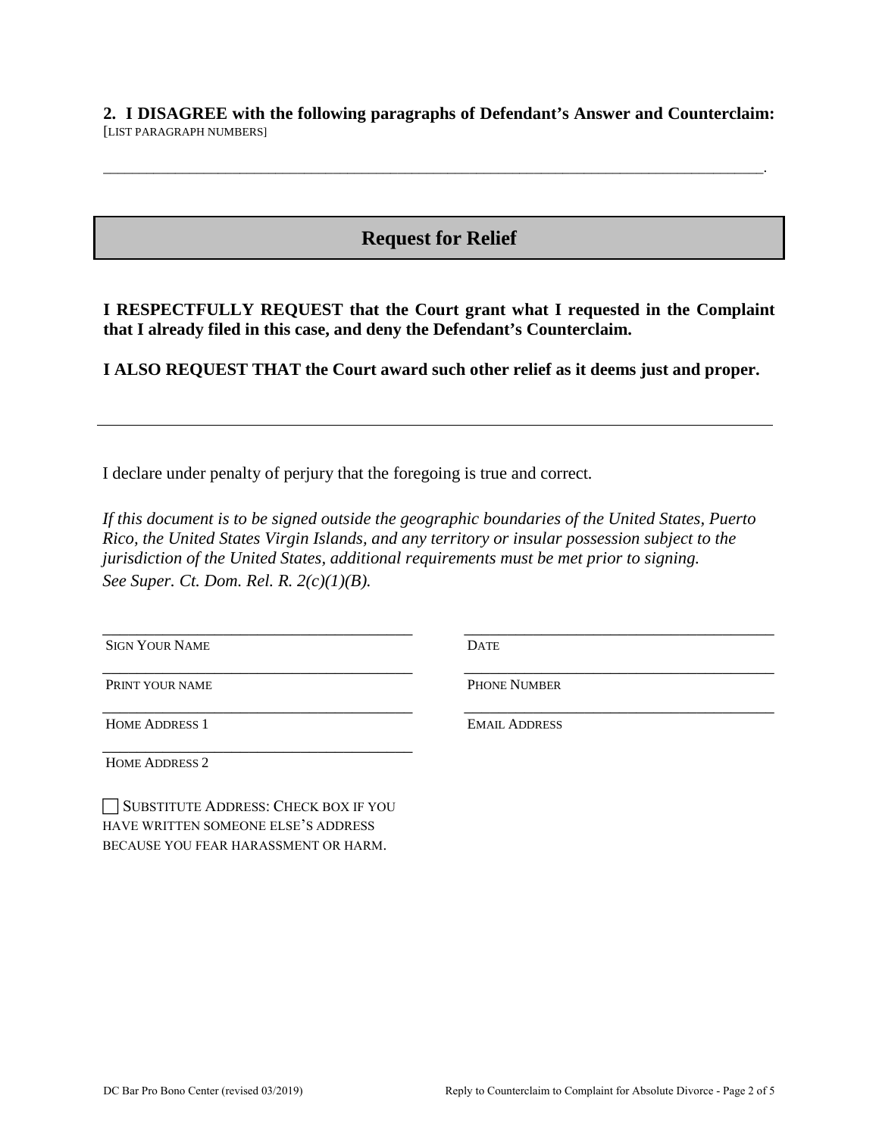**2. I DISAGREE with the following paragraphs of Defendant's Answer and Counterclaim:** [LIST PARAGRAPH NUMBERS]

\_\_\_\_\_\_\_\_\_\_\_\_\_\_\_\_\_\_\_\_\_\_\_\_\_\_\_\_\_\_\_\_\_\_\_\_\_\_\_\_\_\_\_\_\_\_\_\_\_\_\_\_\_\_\_\_\_\_\_\_\_\_\_\_\_\_\_\_\_\_\_\_\_\_\_\_\_\_\_\_\_\_\_\_\_\_\_\_\_\_\_\_.

# **Request for Relief**

**I RESPECTFULLY REQUEST that the Court grant what I requested in the Complaint that I already filed in this case, and deny the Defendant's Counterclaim.**

**I ALSO REQUEST THAT the Court award such other relief as it deems just and proper.**

I declare under penalty of perjury that the foregoing is true and correct*.* 

*If this document is to be signed outside the geographic boundaries of the United States, Puerto Rico, the United States Virgin Islands, and any territory or insular possession subject to the jurisdiction of the United States, additional requirements must be met prior to signing. See Super. Ct. Dom. Rel. R. 2(c)(1)(B).*

SIGN YOUR NAME

DATE

PRINT YOUR NAME

PHONE NUMBER

\_\_\_\_\_\_\_\_\_\_\_\_\_\_\_\_\_\_\_\_\_\_\_\_\_\_\_\_\_\_\_\_\_\_\_\_ HOME ADDRESS 1

\_\_\_\_\_\_\_\_\_\_\_\_\_\_\_\_\_\_\_\_\_\_\_\_\_\_\_\_\_\_\_\_\_\_\_\_ HOME ADDRESS 2

SUBSTITUTE ADDRESS: CHECK BOX IF YOU HAVE WRITTEN SOMEONE ELSE'S ADDRESS BECAUSE YOU FEAR HARASSMENT OR HARM.

\_\_\_\_\_\_\_\_\_\_\_\_\_\_\_\_\_\_\_\_\_\_\_\_\_\_\_\_\_\_\_\_\_\_\_\_

\_\_\_\_\_\_\_\_\_\_\_\_\_\_\_\_\_\_\_\_\_\_\_\_\_\_\_\_\_\_\_\_\_\_\_\_

EMAIL ADDRESS

\_\_\_\_\_\_\_\_\_\_\_\_\_\_\_\_\_\_\_\_\_\_\_\_\_\_\_\_\_\_\_\_\_\_\_\_

\_\_\_\_\_\_\_\_\_\_\_\_\_\_\_\_\_\_\_\_\_\_\_\_\_\_\_\_\_\_\_\_\_\_\_\_

\_\_\_\_\_\_\_\_\_\_\_\_\_\_\_\_\_\_\_\_\_\_\_\_\_\_\_\_\_\_\_\_\_\_\_\_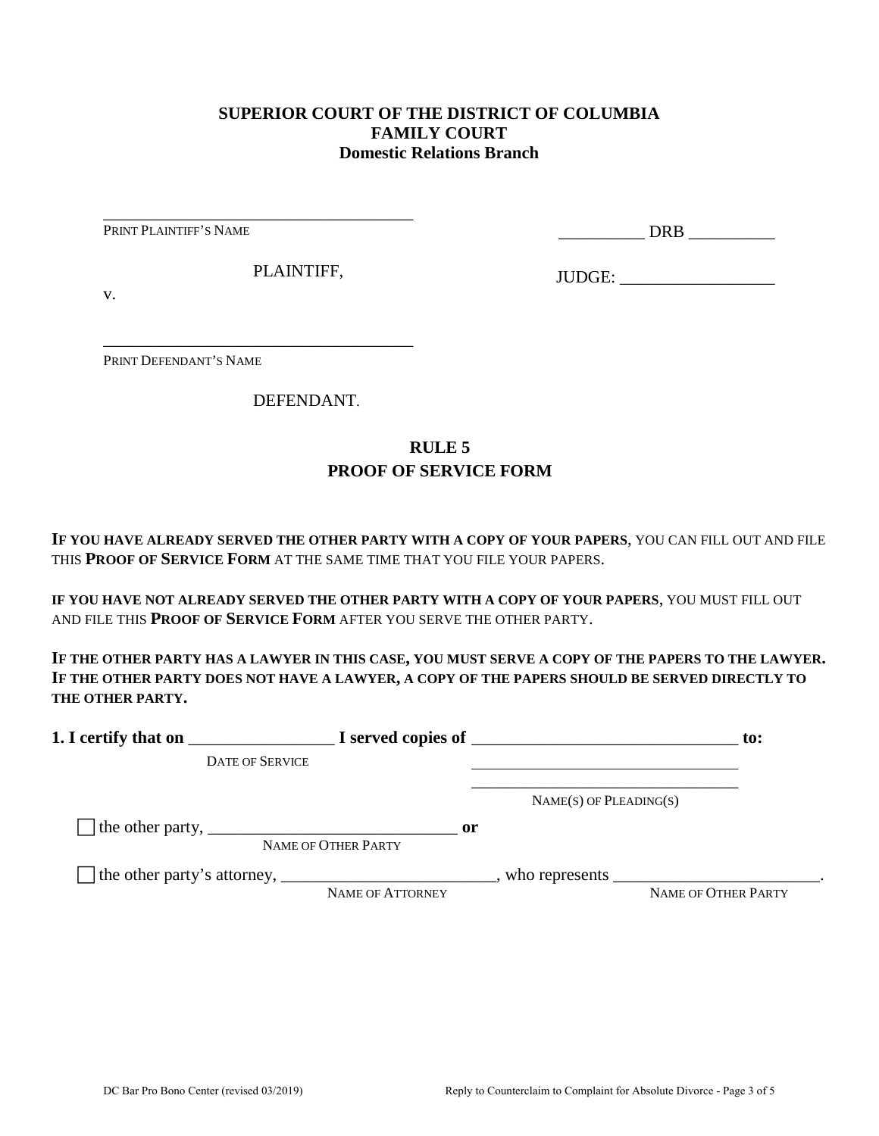### **SUPERIOR COURT OF THE DISTRICT OF COLUMBIA FAMILY COURT Domestic Relations Branch**

PRINT PLAINTIFF'S NAME

\_\_\_\_\_\_\_\_\_\_ DRB \_\_\_\_\_\_\_\_\_\_

PLAINTIFF,

\_\_\_\_\_\_\_\_\_\_\_\_\_\_\_\_\_\_\_\_\_\_\_\_\_\_\_\_\_\_\_\_\_\_\_\_

\_\_\_\_\_\_\_\_\_\_\_\_\_\_\_\_\_\_\_\_\_\_\_\_\_\_\_\_\_\_\_\_\_\_\_\_

JUDGE: \_\_\_\_\_\_\_\_\_\_\_\_\_\_\_\_\_\_

v.

PRINT DEFENDANT'S NAME

DEFENDANT.

## **RULE 5 PROOF OF SERVICE FORM**

**IF YOU HAVE ALREADY SERVED THE OTHER PARTY WITH A COPY OF YOUR PAPERS**, YOU CAN FILL OUT AND FILE THIS **PROOF OF SERVICE FORM** AT THE SAME TIME THAT YOU FILE YOUR PAPERS.

**IF YOU HAVE NOT ALREADY SERVED THE OTHER PARTY WITH A COPY OF YOUR PAPERS**, YOU MUST FILL OUT AND FILE THIS **PROOF OF SERVICE FORM** AFTER YOU SERVE THE OTHER PARTY.

**IF THE OTHER PARTY HAS A LAWYER IN THIS CASE, YOU MUST SERVE A COPY OF THE PAPERS TO THE LAWYER. IF THE OTHER PARTY DOES NOT HAVE A LAWYER, A COPY OF THE PAPERS SHOULD BE SERVED DIRECTLY TO THE OTHER PARTY.** 

| <b>Example 1</b> served copies of<br>1. I certify that on |                     | to:                         |                     |
|-----------------------------------------------------------|---------------------|-----------------------------|---------------------|
| DATE OF SERVICE                                           |                     |                             |                     |
|                                                           |                     | $NAME(S)$ OF PLEADING $(S)$ |                     |
|                                                           | NAME OF OTHER PARTY |                             |                     |
|                                                           | NAME OF ATTORNEY    |                             | NAME OF OTHER PARTY |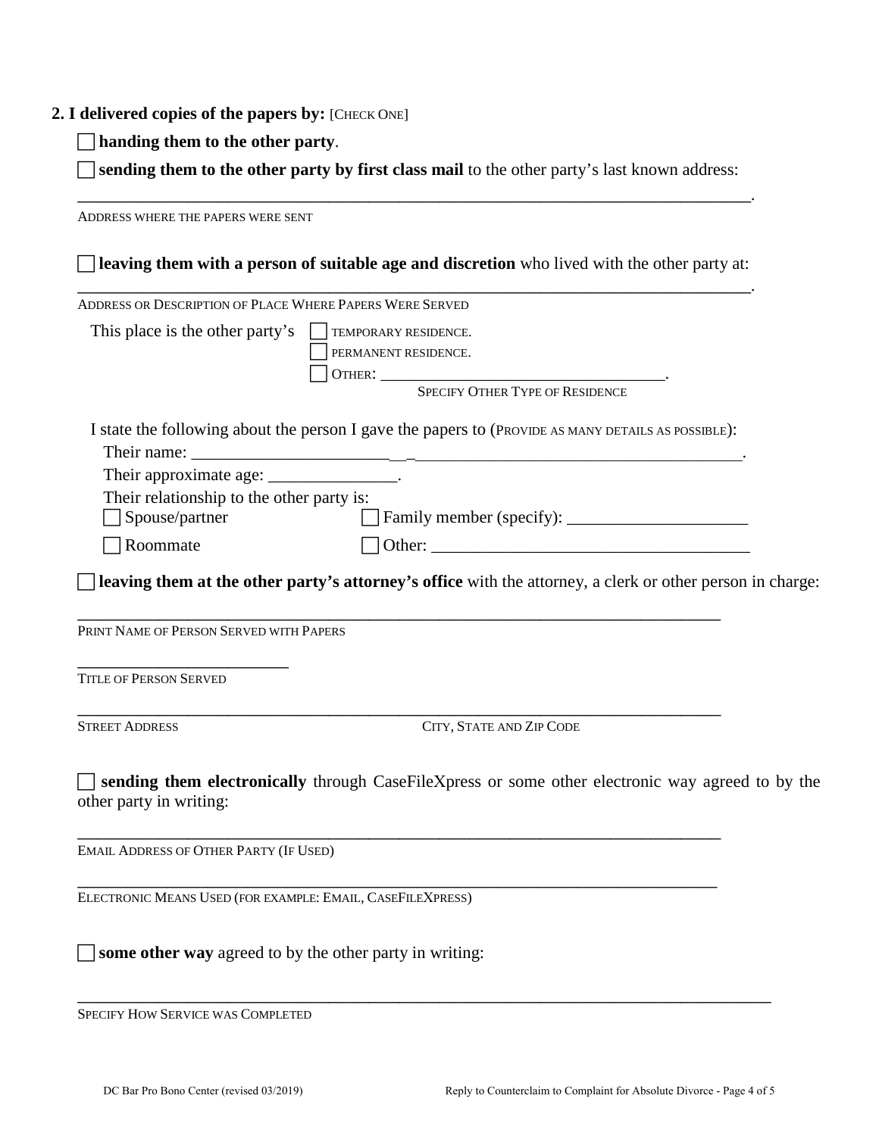#### **2. I delivered copies of the papers by:** [CHECK ONE]

**handing them to the other party**.

 **sending them to the other party by first class mail** to the other party's last known address: \_\_\_\_\_\_\_\_\_\_\_\_\_\_\_\_\_\_\_\_\_\_\_\_\_\_\_\_\_\_\_\_\_\_\_\_\_\_\_\_\_\_\_\_\_\_\_\_\_\_\_\_\_\_\_\_\_\_\_\_\_\_\_\_\_\_\_.

ADDRESS WHERE THE PAPERS WERE SENT **leaving them with a person of suitable age and discretion** who lived with the other party at: \_\_\_\_\_\_\_\_\_\_\_\_\_\_\_\_\_\_\_\_\_\_\_\_\_\_\_\_\_\_\_\_\_\_\_\_\_\_\_\_\_\_\_\_\_\_\_\_\_\_\_\_\_\_\_\_\_\_\_\_\_\_\_\_\_\_\_. ADDRESS OR DESCRIPTION OF PLACE WHERE PAPERS WERE SERVED This place is the other party's  $\Box$  TEMPORARY RESIDENCE. PERMANENT RESIDENCE. OTHER: \_\_\_\_\_\_\_\_\_\_\_\_\_\_\_\_\_\_\_\_\_\_\_\_\_\_\_\_\_\_\_\_\_. SPECIFY OTHER TYPE OF RESIDENCE I state the following about the person I gave the papers to (PROVIDE AS MANY DETAILS AS POSSIBLE): Their name: Their approximate age: \_\_\_\_\_\_\_\_\_\_\_\_\_\_\_\_\_. Their relationship to the other party is: Spouse/partner Family member (specify): \_\_\_\_\_\_\_\_\_\_\_\_\_\_\_\_\_\_\_\_\_  $\Box$  Roommate  $\Box$  Other: **leaving them at the other party's attorney's office** with the attorney, a clerk or other person in charge: \_\_\_\_\_\_\_\_\_\_\_\_\_\_\_\_\_\_\_\_\_\_\_\_\_\_\_\_\_\_\_\_\_\_\_\_\_\_\_\_\_\_\_\_\_\_\_\_\_\_\_\_\_\_\_\_\_\_\_\_\_\_\_\_ PRINT NAME OF PERSON SERVED WITH PAPERS \_\_\_\_\_\_\_\_\_\_\_\_\_\_\_\_\_\_\_\_\_ TITLE OF PERSON SERVED \_\_\_\_\_\_\_\_\_\_\_\_\_\_\_\_\_\_\_\_\_\_\_\_\_\_\_\_\_\_\_\_\_\_\_\_\_\_\_\_\_\_\_\_\_\_\_\_\_\_\_\_\_\_\_\_\_\_\_\_\_\_\_\_ STREET ADDRESS CITY, STATE AND ZIP CODE **sending them electronically** through CaseFileXpress or some other electronic way agreed to by the other party in writing: \_\_\_\_\_\_\_\_\_\_\_\_\_\_\_\_\_\_\_\_\_\_\_\_\_\_\_\_\_\_\_\_\_\_\_\_\_\_\_\_\_\_\_\_\_\_\_\_\_\_\_\_\_\_\_\_\_\_\_\_\_\_\_\_ EMAIL ADDRESS OF OTHER PARTY (IF USED) \_\_\_\_\_\_\_\_\_\_\_\_\_\_\_\_\_\_\_\_\_\_\_\_\_\_\_\_\_\_\_\_\_\_\_\_\_\_\_\_\_\_\_\_\_\_\_\_\_\_\_\_\_\_\_\_\_\_\_\_\_\_\_\_ ELECTRONIC MEANS USED (FOR EXAMPLE: EMAIL, CASEFILEXPRESS)  $\Box$  **some other way** agreed to by the other party in writing:

\_\_\_\_\_\_\_\_\_\_\_\_\_\_\_\_\_\_\_\_\_\_\_\_\_\_\_\_\_\_\_\_\_\_\_\_\_\_\_\_\_\_\_\_\_\_\_\_\_\_\_\_\_\_\_\_\_\_\_\_\_\_\_\_\_\_\_\_\_ SPECIFY HOW SERVICE WAS COMPLETED